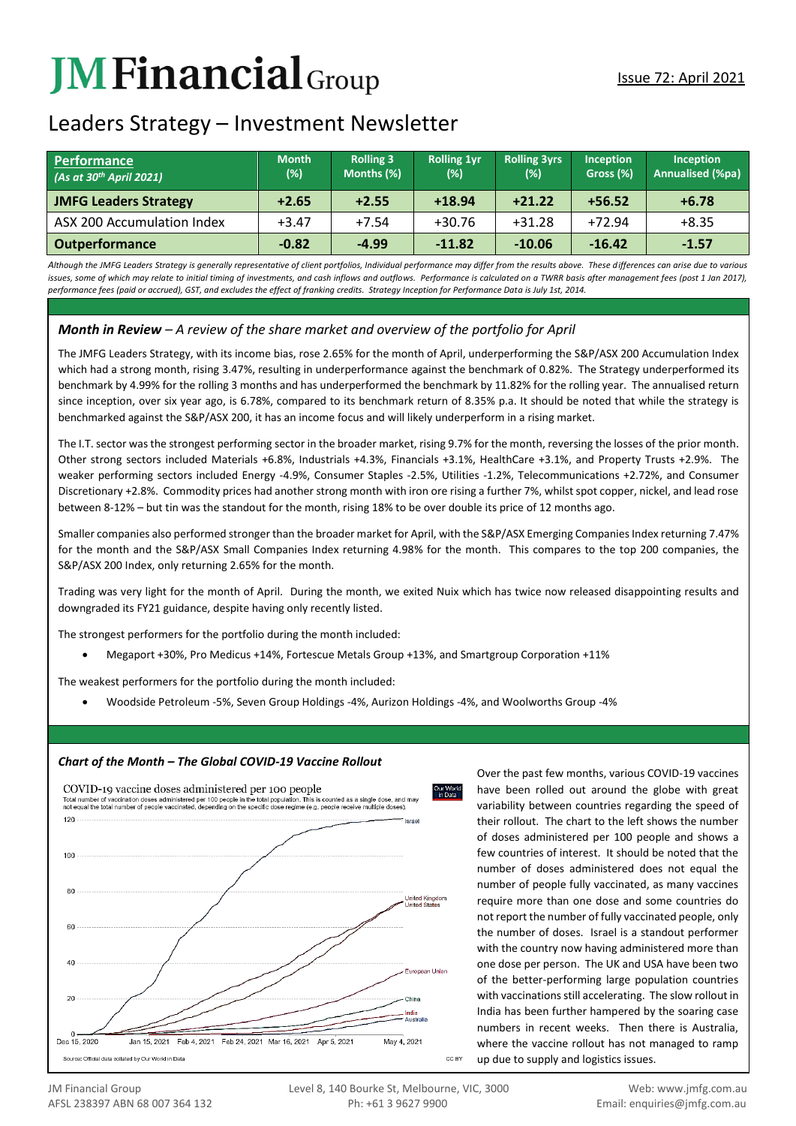# **JMFinancial**Group

## Leaders Strategy – Investment Newsletter

| Performance<br>(As at 30 <sup>th</sup> April 2021) | <b>Month</b><br>(%) | <b>Rolling 3</b><br>Months (%) | <b>Rolling 1yr</b><br>(%) | <b>Rolling 3yrs</b><br>(%) | <b>Inception</b><br>Gross (%) | <b>Inception</b><br>Annualised (%pa) |
|----------------------------------------------------|---------------------|--------------------------------|---------------------------|----------------------------|-------------------------------|--------------------------------------|
| <b>JMFG Leaders Strategy</b>                       | $+2.65$             | $+2.55$                        | $+18.94$                  | $+21.22$                   | $+56.52$                      | $+6.78$                              |
| ASX 200 Accumulation Index                         | $+3.47$             | $+7.54$                        | $+30.76$                  | $+31.28$                   | $+72.94$                      | $+8.35$                              |
| <b>Outperformance</b>                              | $-0.82$             | $-4.99$                        | $-11.82$                  | $-10.06$                   | $-16.42$                      | $-1.57$                              |

*Although the JMFG Leaders Strategy is generally representative of client portfolios, Individual performance may differ from the results above. These differences can arise due to various*  issues, some of which may relate to initial timing of investments, and cash inflows and outflows. Performance is calculated on a TWRR basis after management fees (post 1 Jan 2017), *performance fees (paid or accrued), GST, and excludes the effect of franking credits. Strategy Inception for Performance Data is July 1st, 2014.*

### *Month in Review – A review of the share market and overview of the portfolio for April*

The JMFG Leaders Strategy, with its income bias, rose 2.65% for the month of April, underperforming the S&P/ASX 200 Accumulation Index which had a strong month, rising 3.47%, resulting in underperformance against the benchmark of 0.82%. The Strategy underperformed its benchmark by 4.99% for the rolling 3 months and has underperformed the benchmark by 11.82% for the rolling year. The annualised return since inception, over six year ago, is 6.78%, compared to its benchmark return of 8.35% p.a. It should be noted that while the strategy is benchmarked against the S&P/ASX 200, it has an income focus and will likely underperform in a rising market.

The I.T. sector was the strongest performing sector in the broader market, rising 9.7% for the month, reversing the losses of the prior month. Other strong sectors included Materials +6.8%, Industrials +4.3%, Financials +3.1%, HealthCare +3.1%, and Property Trusts +2.9%. The weaker performing sectors included Energy -4.9%, Consumer Staples -2.5%, Utilities -1.2%, Telecommunications +2.72%, and Consumer Discretionary +2.8%. Commodity prices had another strong month with iron ore rising a further 7%, whilst spot copper, nickel, and lead rose between 8-12% – but tin was the standout for the month, rising 18% to be over double its price of 12 months ago.

Smaller companies also performed stronger than the broader market for April, with the S&P/ASX Emerging Companies Index returning 7.47% for the month and the S&P/ASX Small Companies Index returning 4.98% for the month. This compares to the top 200 companies, the S&P/ASX 200 Index, only returning 2.65% for the month.

Trading was very light for the month of April. During the month, we exited Nuix which has twice now released disappointing results and downgraded its FY21 guidance, despite having only recently listed.

The strongest performers for the portfolio during the month included:

Megaport +30%, Pro Medicus +14%, Fortescue Metals Group +13%, and Smartgroup Corporation +11%

The weakest performers for the portfolio during the month included:

Woodside Petroleum -5%, Seven Group Holdings -4%, Aurizon Holdings -4%, and Woolworths Group -4%



Over the past few months, various COVID-19 vaccines have been rolled out around the globe with great variability between countries regarding the speed of their rollout. The chart to the left shows the number of doses administered per 100 people and shows a few countries of interest. It should be noted that the number of doses administered does not equal the number of people fully vaccinated, as many vaccines require more than one dose and some countries do not report the number of fully vaccinated people, only the number of doses. Israel is a standout performer with the country now having administered more than one dose per person. The UK and USA have been two of the better-performing large population countries with vaccinations still accelerating. The slow rollout in India has been further hampered by the soaring case numbers in recent weeks. Then there is Australia, where the vaccine rollout has not managed to ramp up due to supply and logistics issues.

#### *Chart of the Month – The Global COVID-19 Vaccine Rollout*